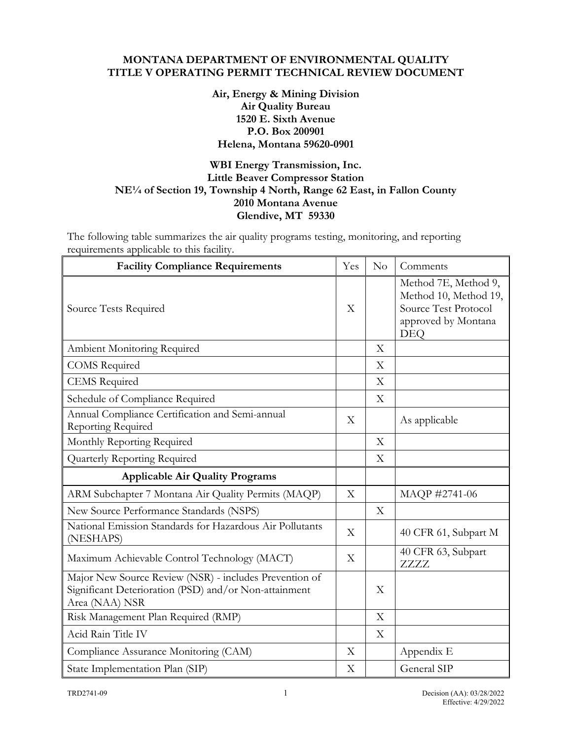### **MONTANA DEPARTMENT OF ENVIRONMENTAL QUALITY TITLE V OPERATING PERMIT TECHNICAL REVIEW DOCUMENT**

### **Air, Energy & Mining Division Air Quality Bureau 1520 E. Sixth Avenue P.O. Box 200901 Helena, Montana 59620-0901**

## **WBI Energy Transmission, Inc. Little Beaver Compressor Station NE¼ of Section 19, Township 4 North, Range 62 East, in Fallon County 2010 Montana Avenue Glendive, MT 59330**

The following table summarizes the air quality programs testing, monitoring, and reporting requirements applicable to this facility.

| <b>Facility Compliance Requirements</b>                                                                                           | Yes | No                        | Comments                                                                                                   |
|-----------------------------------------------------------------------------------------------------------------------------------|-----|---------------------------|------------------------------------------------------------------------------------------------------------|
| Source Tests Required                                                                                                             | X   |                           | Method 7E, Method 9,<br>Method 10, Method 19,<br>Source Test Protocol<br>approved by Montana<br><b>DEQ</b> |
| Ambient Monitoring Required                                                                                                       |     | X                         |                                                                                                            |
| <b>COMS</b> Required                                                                                                              |     | X                         |                                                                                                            |
| <b>CEMS</b> Required                                                                                                              |     | X                         |                                                                                                            |
| Schedule of Compliance Required                                                                                                   |     | X                         |                                                                                                            |
| Annual Compliance Certification and Semi-annual<br>Reporting Required                                                             | X   |                           | As applicable                                                                                              |
| Monthly Reporting Required                                                                                                        |     | X                         |                                                                                                            |
| Quarterly Reporting Required                                                                                                      |     | X                         |                                                                                                            |
| <b>Applicable Air Quality Programs</b>                                                                                            |     |                           |                                                                                                            |
| ARM Subchapter 7 Montana Air Quality Permits (MAQP)                                                                               | X   |                           | MAQP #2741-06                                                                                              |
| New Source Performance Standards (NSPS)                                                                                           |     | X                         |                                                                                                            |
| National Emission Standards for Hazardous Air Pollutants<br>(NESHAPS)                                                             | X   |                           | 40 CFR 61, Subpart M                                                                                       |
| Maximum Achievable Control Technology (MACT)                                                                                      | X   |                           | 40 CFR 63, Subpart<br>ZZZZ                                                                                 |
| Major New Source Review (NSR) - includes Prevention of<br>Significant Deterioration (PSD) and/or Non-attainment<br>Area (NAA) NSR |     | X                         |                                                                                                            |
| Risk Management Plan Required (RMP)                                                                                               |     | $\rm X$                   |                                                                                                            |
| Acid Rain Title IV                                                                                                                |     | $\boldsymbol{\mathrm{X}}$ |                                                                                                            |
| Compliance Assurance Monitoring (CAM)                                                                                             | X   |                           | Appendix E                                                                                                 |
| State Implementation Plan (SIP)                                                                                                   | X   |                           | General SIP                                                                                                |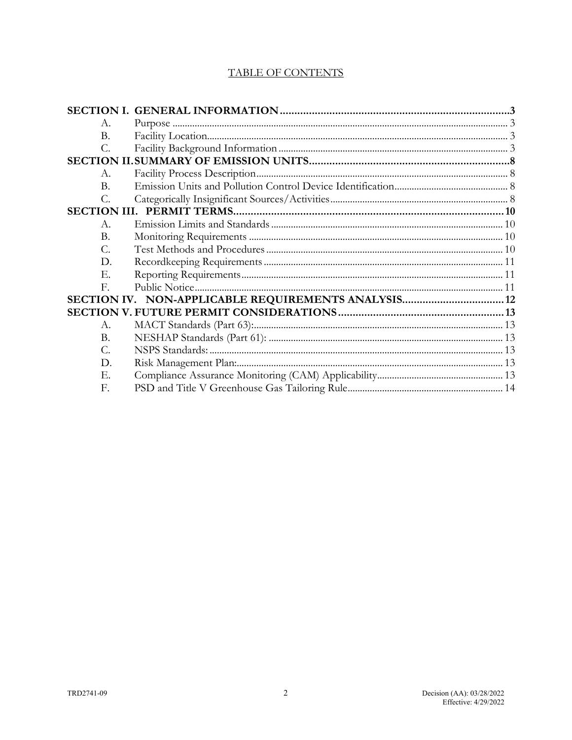## **TABLE OF CONTENTS**

| A.              |  |
|-----------------|--|
| <b>B.</b>       |  |
| $\mathcal{C}$ . |  |
|                 |  |
| $A_{\cdot}$     |  |
| B.              |  |
| $\mathcal{C}$ . |  |
|                 |  |
| $A_{-}$         |  |
| Β.              |  |
| С.              |  |
| D.              |  |
| Е.              |  |
| $\mathbf{E}$    |  |
|                 |  |
|                 |  |
| $A_{\cdot}$     |  |
| Β.              |  |
| C.              |  |
| D.              |  |
| Е.              |  |
| F.              |  |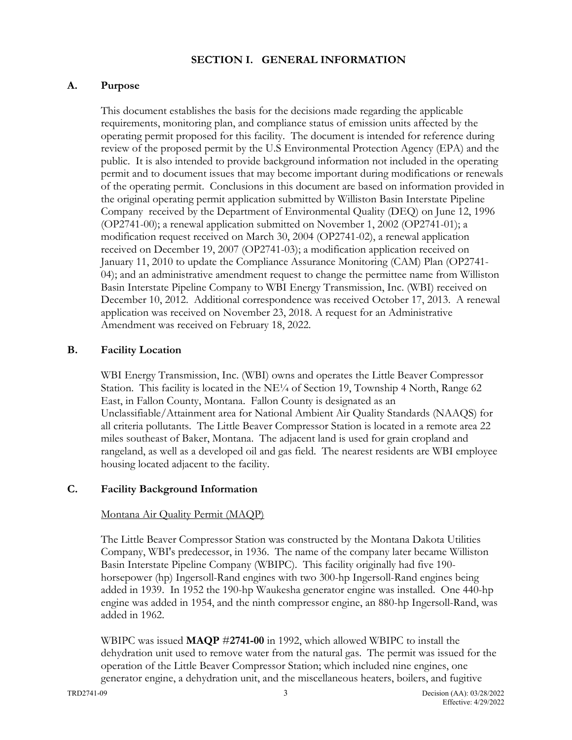### **SECTION I. GENERAL INFORMATION**

### <span id="page-2-1"></span><span id="page-2-0"></span>**A. Purpose**

This document establishes the basis for the decisions made regarding the applicable requirements, monitoring plan, and compliance status of emission units affected by the operating permit proposed for this facility. The document is intended for reference during review of the proposed permit by the U.S Environmental Protection Agency (EPA) and the public. It is also intended to provide background information not included in the operating permit and to document issues that may become important during modifications or renewals of the operating permit. Conclusions in this document are based on information provided in the original operating permit application submitted by Williston Basin Interstate Pipeline Company received by the Department of Environmental Quality (DEQ) on June 12, 1996 (OP2741-00); a renewal application submitted on November 1, 2002 (OP2741-01); a modification request received on March 30, 2004 (OP2741-02), a renewal application received on December 19, 2007 (OP2741-03); a modification application received on January 11, 2010 to update the Compliance Assurance Monitoring (CAM) Plan (OP2741- 04); and an administrative amendment request to change the permittee name from Williston Basin Interstate Pipeline Company to WBI Energy Transmission, Inc. (WBI) received on December 10, 2012. Additional correspondence was received October 17, 2013. A renewal application was received on November 23, 2018. A request for an Administrative Amendment was received on February 18, 2022.

### <span id="page-2-2"></span>**B. Facility Location**

WBI Energy Transmission, Inc. (WBI) owns and operates the Little Beaver Compressor Station. This facility is located in the  $NE\frac{1}{4}$  of Section 19, Township 4 North, Range 62 East, in Fallon County, Montana. Fallon County is designated as an Unclassifiable/Attainment area for National Ambient Air Quality Standards (NAAQS) for all criteria pollutants. The Little Beaver Compressor Station is located in a remote area 22 miles southeast of Baker, Montana. The adjacent land is used for grain cropland and rangeland, as well as a developed oil and gas field. The nearest residents are WBI employee housing located adjacent to the facility.

### <span id="page-2-3"></span>**C. Facility Background Information**

#### Montana Air Quality Permit (MAQP)

The Little Beaver Compressor Station was constructed by the Montana Dakota Utilities Company, WBI's predecessor, in 1936. The name of the company later became Williston Basin Interstate Pipeline Company (WBIPC). This facility originally had five 190 horsepower (hp) Ingersoll-Rand engines with two 300-hp Ingersoll-Rand engines being added in 1939. In 1952 the 190-hp Waukesha generator engine was installed. One 440-hp engine was added in 1954, and the ninth compressor engine, an 880-hp Ingersoll-Rand, was added in 1962.

WBIPC was issued **MAQP** #**2741-00** in 1992, which allowed WBIPC to install the dehydration unit used to remove water from the natural gas. The permit was issued for the operation of the Little Beaver Compressor Station; which included nine engines, one generator engine, a dehydration unit, and the miscellaneous heaters, boilers, and fugitive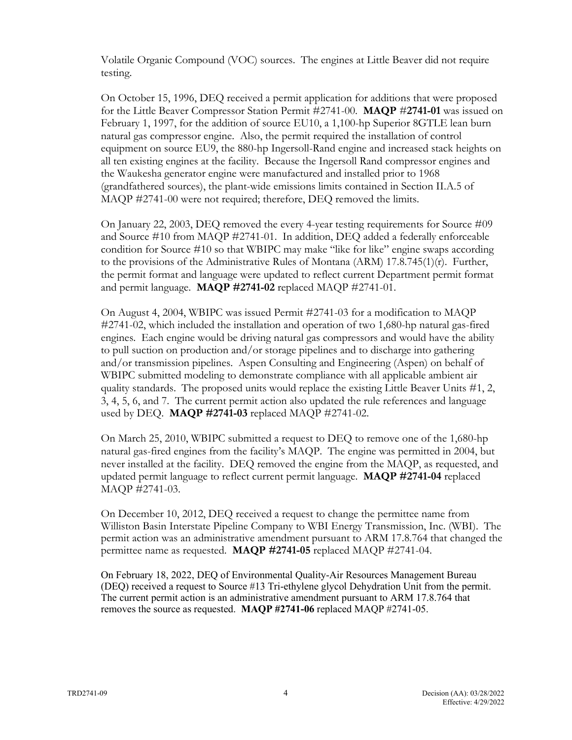Volatile Organic Compound (VOC) sources. The engines at Little Beaver did not require testing.

On October 15, 1996, DEQ received a permit application for additions that were proposed for the Little Beaver Compressor Station Permit #2741-00. **MAQP** #**2741-01** was issued on February 1, 1997, for the addition of source EU10, a 1,100-hp Superior 8GTLE lean burn natural gas compressor engine. Also, the permit required the installation of control equipment on source EU9, the 880-hp Ingersoll-Rand engine and increased stack heights on all ten existing engines at the facility. Because the Ingersoll Rand compressor engines and the Waukesha generator engine were manufactured and installed prior to 1968 (grandfathered sources), the plant-wide emissions limits contained in Section II.A.5 of MAQP #2741-00 were not required; therefore, DEQ removed the limits.

On January 22, 2003, DEQ removed the every 4-year testing requirements for Source #09 and Source #10 from MAQP #2741-01. In addition, DEQ added a federally enforceable condition for Source #10 so that WBIPC may make "like for like" engine swaps according to the provisions of the Administrative Rules of Montana (ARM) 17.8.745(1)(r). Further, the permit format and language were updated to reflect current Department permit format and permit language. **MAQP #2741-02** replaced MAQP #2741-01.

On August 4, 2004, WBIPC was issued Permit #2741-03 for a modification to MAQP #2741-02, which included the installation and operation of two 1,680-hp natural gas-fired engines. Each engine would be driving natural gas compressors and would have the ability to pull suction on production and/or storage pipelines and to discharge into gathering and/or transmission pipelines. Aspen Consulting and Engineering (Aspen) on behalf of WBIPC submitted modeling to demonstrate compliance with all applicable ambient air quality standards. The proposed units would replace the existing Little Beaver Units #1, 2, 3, 4, 5, 6, and 7. The current permit action also updated the rule references and language used by DEQ. **MAQP #2741-03** replaced MAQP #2741-02.

On March 25, 2010, WBIPC submitted a request to DEQ to remove one of the 1,680-hp natural gas-fired engines from the facility's MAQP. The engine was permitted in 2004, but never installed at the facility. DEQ removed the engine from the MAQP, as requested, and updated permit language to reflect current permit language. **MAQP #2741-04** replaced MAQP #2741-03.

On December 10, 2012, DEQ received a request to change the permittee name from Williston Basin Interstate Pipeline Company to WBI Energy Transmission, Inc. (WBI). The permit action was an administrative amendment pursuant to ARM 17.8.764 that changed the permittee name as requested. **MAQP #2741-05** replaced MAQP #2741-04.

On February 18, 2022, DEQ of Environmental Quality-Air Resources Management Bureau (DEQ) received a request to Source #13 Tri-ethylene glycol Dehydration Unit from the permit. The current permit action is an administrative amendment pursuant to ARM 17.8.764 that removes the source as requested. **MAQP #2741-06** replaced MAQP #2741-05.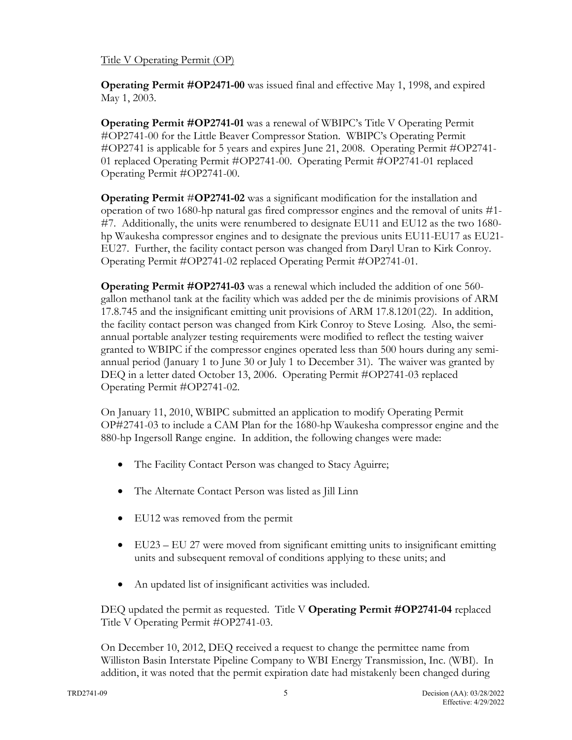### Title V Operating Permit (OP)

**Operating Permit #OP2471-00** was issued final and effective May 1, 1998, and expired May 1, 2003.

**Operating Permit #OP2741-01** was a renewal of WBIPC's Title V Operating Permit #OP2741-00 for the Little Beaver Compressor Station. WBIPC's Operating Permit #OP2741 is applicable for 5 years and expires June 21, 2008. Operating Permit #OP2741- 01 replaced Operating Permit #OP2741-00. Operating Permit #OP2741-01 replaced Operating Permit #OP2741-00.

**Operating Permit #OP2741-02** was a significant modification for the installation and operation of two 1680-hp natural gas fired compressor engines and the removal of units #1- #7. Additionally, the units were renumbered to designate EU11 and EU12 as the two 1680 hp Waukesha compressor engines and to designate the previous units EU11-EU17 as EU21- EU27. Further, the facility contact person was changed from Daryl Uran to Kirk Conroy. Operating Permit #OP2741-02 replaced Operating Permit #OP2741-01.

**Operating Permit #OP2741-03** was a renewal which included the addition of one 560 gallon methanol tank at the facility which was added per the de minimis provisions of ARM 17.8.745 and the insignificant emitting unit provisions of ARM 17.8.1201(22). In addition, the facility contact person was changed from Kirk Conroy to Steve Losing. Also, the semiannual portable analyzer testing requirements were modified to reflect the testing waiver granted to WBIPC if the compressor engines operated less than 500 hours during any semiannual period (January 1 to June 30 or July 1 to December 31). The waiver was granted by DEQ in a letter dated October 13, 2006. Operating Permit #OP2741-03 replaced Operating Permit #OP2741-02.

On January 11, 2010, WBIPC submitted an application to modify Operating Permit OP#2741-03 to include a CAM Plan for the 1680-hp Waukesha compressor engine and the 880-hp Ingersoll Range engine. In addition, the following changes were made:

- The Facility Contact Person was changed to Stacy Aguirre;
- The Alternate Contact Person was listed as Jill Linn
- EU12 was removed from the permit
- EU23 EU 27 were moved from significant emitting units to insignificant emitting units and subsequent removal of conditions applying to these units; and
- An updated list of insignificant activities was included.

DEQ updated the permit as requested. Title V **Operating Permit #OP2741-04** replaced Title V Operating Permit #OP2741-03.

On December 10, 2012, DEQ received a request to change the permittee name from Williston Basin Interstate Pipeline Company to WBI Energy Transmission, Inc. (WBI). In addition, it was noted that the permit expiration date had mistakenly been changed during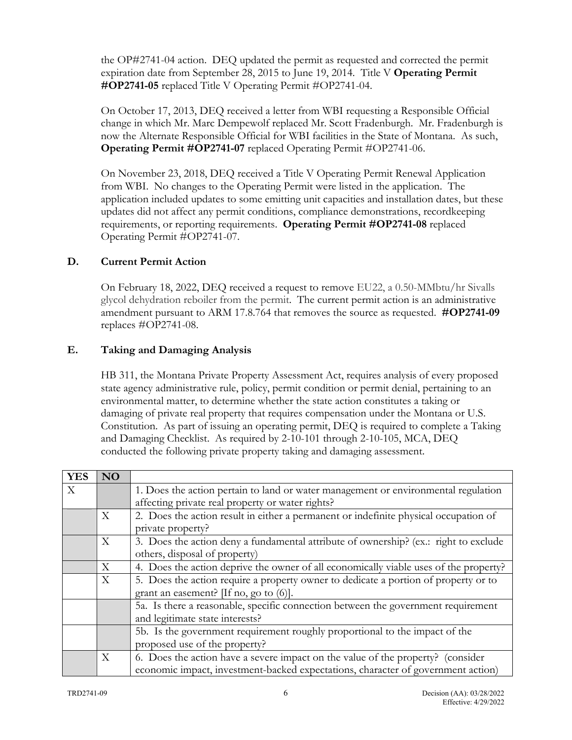the OP#2741-04 action. DEQ updated the permit as requested and corrected the permit expiration date from September 28, 2015 to June 19, 2014. Title V **Operating Permit #OP2741-05** replaced Title V Operating Permit #OP2741-04.

On October 17, 2013, DEQ received a letter from WBI requesting a Responsible Official change in which Mr. Marc Dempewolf replaced Mr. Scott Fradenburgh. Mr. Fradenburgh is now the Alternate Responsible Official for WBI facilities in the State of Montana. As such, **Operating Permit #OP2741-07** replaced Operating Permit #OP2741-06.

On November 23, 2018, DEQ received a Title V Operating Permit Renewal Application from WBI. No changes to the Operating Permit were listed in the application. The application included updates to some emitting unit capacities and installation dates, but these updates did not affect any permit conditions, compliance demonstrations, recordkeeping requirements, or reporting requirements. **Operating Permit #OP2741-08** replaced Operating Permit #OP2741-07.

# **D. Current Permit Action**

On February 18, 2022, DEQ received a request to remove EU22, a 0.50-MMbtu/hr Sivalls glycol dehydration reboiler from the permit. The current permit action is an administrative amendment pursuant to ARM 17.8.764 that removes the source as requested. **#OP2741-09** replaces #OP2741-08.

## **E. Taking and Damaging Analysis**

HB 311, the Montana Private Property Assessment Act, requires analysis of every proposed state agency administrative rule, policy, permit condition or permit denial, pertaining to an environmental matter, to determine whether the state action constitutes a taking or damaging of private real property that requires compensation under the Montana or U.S. Constitution. As part of issuing an operating permit, DEQ is required to complete a Taking and Damaging Checklist. As required by 2-10-101 through 2-10-105, MCA, DEQ conducted the following private property taking and damaging assessment.

| <b>YES</b> | <b>NO</b> |                                                                                       |
|------------|-----------|---------------------------------------------------------------------------------------|
| X          |           | 1. Does the action pertain to land or water management or environmental regulation    |
|            |           | affecting private real property or water rights?                                      |
|            | X         | 2. Does the action result in either a permanent or indefinite physical occupation of  |
|            |           | private property?                                                                     |
|            | X         | 3. Does the action deny a fundamental attribute of ownership? (ex.: right to exclude  |
|            |           | others, disposal of property)                                                         |
|            | X         | 4. Does the action deprive the owner of all economically viable uses of the property? |
|            | X         | 5. Does the action require a property owner to dedicate a portion of property or to   |
|            |           | grant an easement? [If no, go to $(6)$ ].                                             |
|            |           | 5a. Is there a reasonable, specific connection between the government requirement     |
|            |           | and legitimate state interests?                                                       |
|            |           | 5b. Is the government requirement roughly proportional to the impact of the           |
|            |           | proposed use of the property?                                                         |
|            | X         | 6. Does the action have a severe impact on the value of the property? (consider       |
|            |           | economic impact, investment-backed expectations, character of government action)      |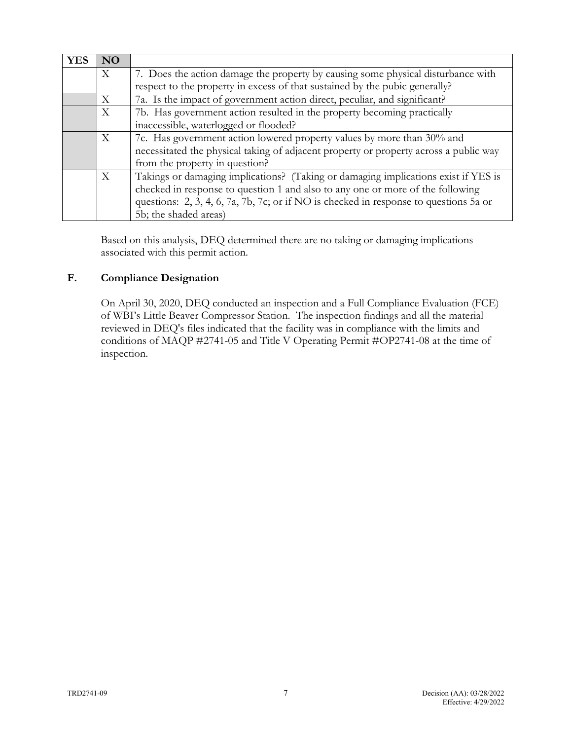| <b>YES</b> | NO |                                                                                       |  |
|------------|----|---------------------------------------------------------------------------------------|--|
|            | X  | 7. Does the action damage the property by causing some physical disturbance with      |  |
|            |    | respect to the property in excess of that sustained by the pubic generally?           |  |
|            | X  | 7a. Is the impact of government action direct, peculiar, and significant?             |  |
|            | X  | 7b. Has government action resulted in the property becoming practically               |  |
|            |    | inaccessible, waterlogged or flooded?                                                 |  |
|            | X  | 7c. Has government action lowered property values by more than 30% and                |  |
|            |    | necessitated the physical taking of adjacent property or property across a public way |  |
|            |    | from the property in question?                                                        |  |
|            | X  | Takings or damaging implications? (Taking or damaging implications exist if YES is    |  |
|            |    | checked in response to question 1 and also to any one or more of the following        |  |
|            |    | questions: 2, 3, 4, 6, 7a, 7b, 7c; or if NO is checked in response to questions 5a or |  |
|            |    | 5b; the shaded areas)                                                                 |  |

Based on this analysis, DEQ determined there are no taking or damaging implications associated with this permit action.

# **F. Compliance Designation**

On April 30, 2020, DEQ conducted an inspection and a Full Compliance Evaluation (FCE) of WBI's Little Beaver Compressor Station. The inspection findings and all the material reviewed in DEQ's files indicated that the facility was in compliance with the limits and conditions of MAQP #2741-05 and Title V Operating Permit #OP2741-08 at the time of inspection.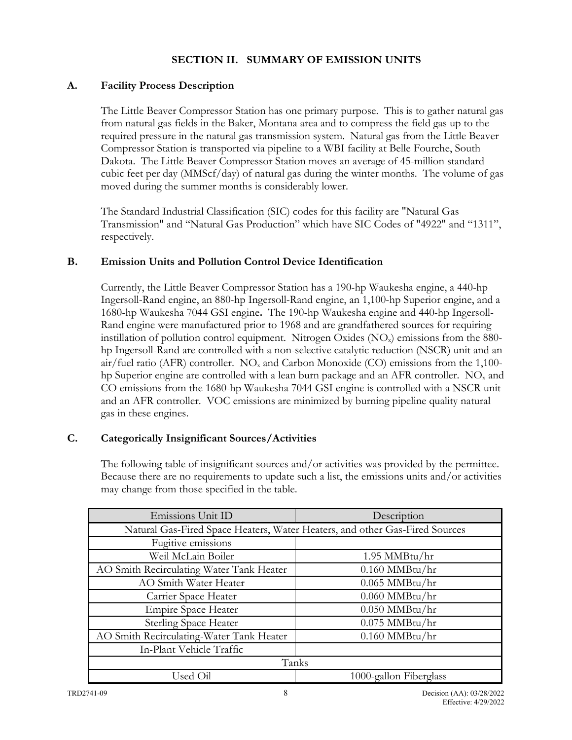## **SECTION II. SUMMARY OF EMISSION UNITS**

## <span id="page-7-1"></span><span id="page-7-0"></span>**A. Facility Process Description**

The Little Beaver Compressor Station has one primary purpose. This is to gather natural gas from natural gas fields in the Baker, Montana area and to compress the field gas up to the required pressure in the natural gas transmission system. Natural gas from the Little Beaver Compressor Station is transported via pipeline to a WBI facility at Belle Fourche, South Dakota. The Little Beaver Compressor Station moves an average of 45-million standard cubic feet per day (MMScf/day) of natural gas during the winter months. The volume of gas moved during the summer months is considerably lower.

The Standard Industrial Classification (SIC) codes for this facility are "Natural Gas Transmission" and "Natural Gas Production" which have SIC Codes of "4922" and "1311", respectively.

### <span id="page-7-2"></span>**B. Emission Units and Pollution Control Device Identification**

Currently, the Little Beaver Compressor Station has a 190-hp Waukesha engine, a 440-hp Ingersoll-Rand engine, an 880-hp Ingersoll-Rand engine, an 1,100-hp Superior engine, and a 1680-hp Waukesha 7044 GSI engine**.** The 190-hp Waukesha engine and 440-hp Ingersoll-Rand engine were manufactured prior to 1968 and are grandfathered sources for requiring instillation of pollution control equipment. Nitrogen Oxides  $(NO<sub>x</sub>)$  emissions from the 880hp Ingersoll-Rand are controlled with a non-selective catalytic reduction (NSCR) unit and an air/fuel ratio (AFR) controller.  $NO<sub>x</sub>$  and Carbon Monoxide (CO) emissions from the 1,100hp Superior engine are controlled with a lean burn package and an AFR controller.  $NO<sub>x</sub>$  and CO emissions from the 1680-hp Waukesha 7044 GSI engine is controlled with a NSCR unit and an AFR controller. VOC emissions are minimized by burning pipeline quality natural gas in these engines.

## <span id="page-7-3"></span>**C. Categorically Insignificant Sources/Activities**

The following table of insignificant sources and/or activities was provided by the permittee. Because there are no requirements to update such a list, the emissions units and/or activities may change from those specified in the table.

| Emissions Unit ID                                                           | Description            |
|-----------------------------------------------------------------------------|------------------------|
| Natural Gas-Fired Space Heaters, Water Heaters, and other Gas-Fired Sources |                        |
| Fugitive emissions                                                          |                        |
| Weil McLain Boiler                                                          | 1.95 MMBtu/hr          |
| AO Smith Recirculating Water Tank Heater                                    | $0.160$ MMBtu/hr       |
| AO Smith Water Heater                                                       | $0.065$ MMBtu/hr       |
| Carrier Space Heater                                                        | $0.060$ MMBtu/hr       |
| <b>Empire Space Heater</b>                                                  | $0.050$ MMBtu/hr       |
| <b>Sterling Space Heater</b>                                                | $0.075$ MMBtu/hr       |
| AO Smith Recirculating-Water Tank Heater                                    | $0.160$ MMBtu/hr       |
| In-Plant Vehicle Traffic                                                    |                        |
| Tanks                                                                       |                        |
| Used Oil                                                                    | 1000-gallon Fiberglass |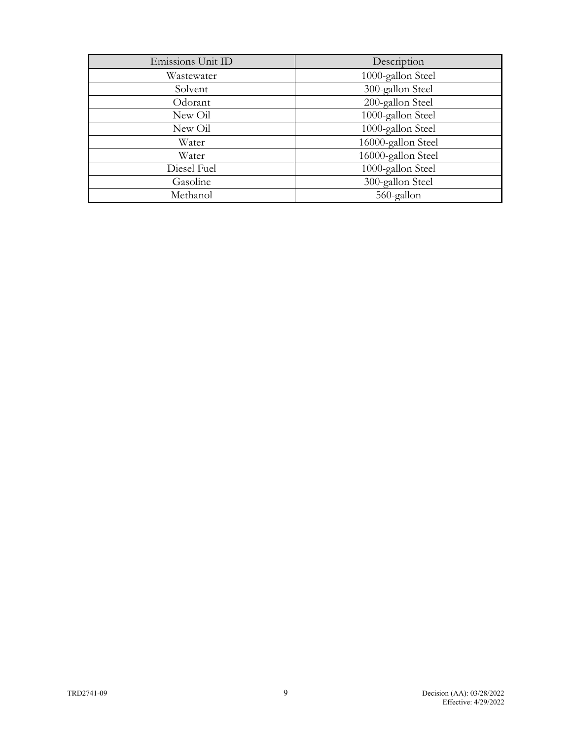| Emissions Unit ID | Description        |
|-------------------|--------------------|
| Wastewater        | 1000-gallon Steel  |
| Solvent           | 300-gallon Steel   |
| Odorant           | 200-gallon Steel   |
| New Oil           | 1000-gallon Steel  |
| New Oil           | 1000-gallon Steel  |
| Water             | 16000-gallon Steel |
| Water             | 16000-gallon Steel |
| Diesel Fuel       | 1000-gallon Steel  |
| Gasoline          | 300-gallon Steel   |
| Methanol          | 560-gallon         |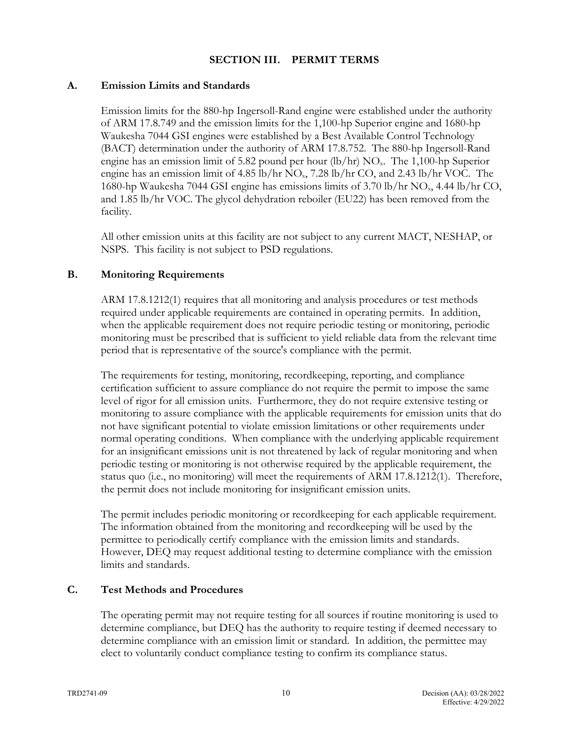### <span id="page-9-0"></span>**SECTION III. PERMIT TERMS**

#### <span id="page-9-1"></span>**A. Emission Limits and Standards**

Emission limits for the 880-hp Ingersoll-Rand engine were established under the authority of ARM 17.8.749 and the emission limits for the 1,100-hp Superior engine and 1680-hp Waukesha 7044 GSI engines were established by a Best Available Control Technology (BACT) determination under the authority of ARM 17.8.752. The 880-hp Ingersoll-Rand engine has an emission limit of 5.82 pound per hour  $(lb/hr)$  NO<sub>x</sub>. The 1,100-hp Superior engine has an emission limit of  $4.85$  lb/hr NO<sub>x</sub>,  $7.28$  lb/hr CO, and  $2.43$  lb/hr VOC. The 1680-hp Waukesha 7044 GSI engine has emissions limits of  $3.70 \text{ lb/hr}$  NO<sub>x</sub>,  $4.44 \text{ lb/hr}$  CO, and 1.85 lb/hr VOC. The glycol dehydration reboiler (EU22) has been removed from the facility.

All other emission units at this facility are not subject to any current MACT, NESHAP, or NSPS. This facility is not subject to PSD regulations.

### <span id="page-9-2"></span>**B. Monitoring Requirements**

ARM 17.8.1212(1) requires that all monitoring and analysis procedures or test methods required under applicable requirements are contained in operating permits. In addition, when the applicable requirement does not require periodic testing or monitoring, periodic monitoring must be prescribed that is sufficient to yield reliable data from the relevant time period that is representative of the source's compliance with the permit.

The requirements for testing, monitoring, recordkeeping, reporting, and compliance certification sufficient to assure compliance do not require the permit to impose the same level of rigor for all emission units. Furthermore, they do not require extensive testing or monitoring to assure compliance with the applicable requirements for emission units that do not have significant potential to violate emission limitations or other requirements under normal operating conditions. When compliance with the underlying applicable requirement for an insignificant emissions unit is not threatened by lack of regular monitoring and when periodic testing or monitoring is not otherwise required by the applicable requirement, the status quo (i.e., no monitoring) will meet the requirements of ARM 17.8.1212(1). Therefore, the permit does not include monitoring for insignificant emission units.

The permit includes periodic monitoring or recordkeeping for each applicable requirement. The information obtained from the monitoring and recordkeeping will be used by the permittee to periodically certify compliance with the emission limits and standards. However, DEQ may request additional testing to determine compliance with the emission limits and standards.

#### <span id="page-9-3"></span>**C. Test Methods and Procedures**

The operating permit may not require testing for all sources if routine monitoring is used to determine compliance, but DEQ has the authority to require testing if deemed necessary to determine compliance with an emission limit or standard. In addition, the permittee may elect to voluntarily conduct compliance testing to confirm its compliance status.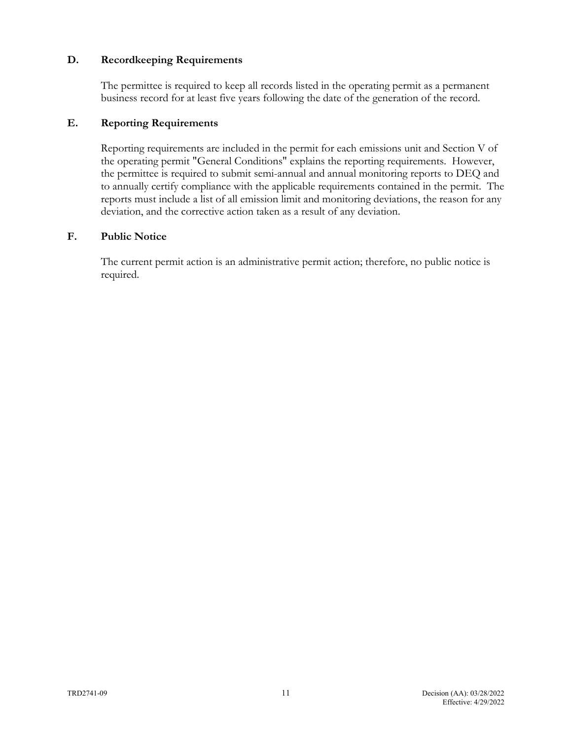### <span id="page-10-0"></span>**D. Recordkeeping Requirements**

The permittee is required to keep all records listed in the operating permit as a permanent business record for at least five years following the date of the generation of the record.

## <span id="page-10-1"></span>**E. Reporting Requirements**

Reporting requirements are included in the permit for each emissions unit and Section V of the operating permit "General Conditions" explains the reporting requirements. However, the permittee is required to submit semi-annual and annual monitoring reports to DEQ and to annually certify compliance with the applicable requirements contained in the permit. The reports must include a list of all emission limit and monitoring deviations, the reason for any deviation, and the corrective action taken as a result of any deviation.

#### <span id="page-10-2"></span>**F. Public Notice**

<span id="page-10-3"></span>The current permit action is an administrative permit action; therefore, no public notice is required.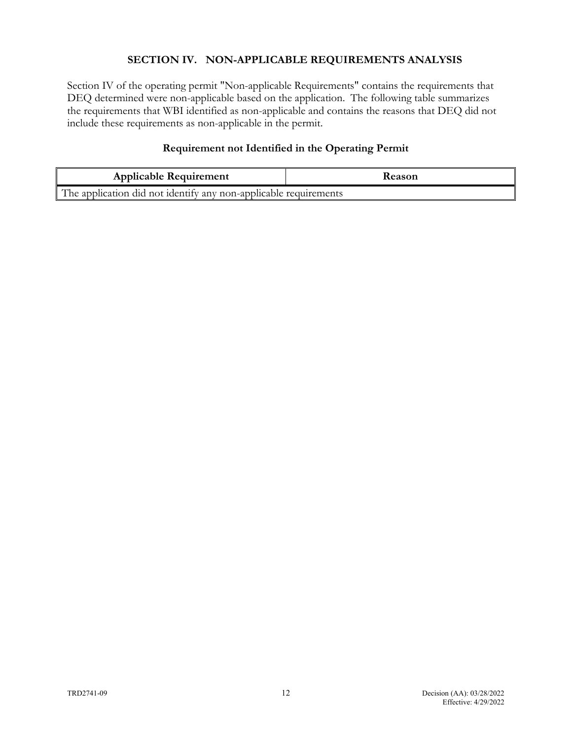## **SECTION IV. NON-APPLICABLE REQUIREMENTS ANALYSIS**

Section IV of the operating permit "Non-applicable Requirements" contains the requirements that DEQ determined were non-applicable based on the application. The following table summarizes the requirements that WBI identified as non-applicable and contains the reasons that DEQ did not include these requirements as non-applicable in the permit.

## **Requirement not Identified in the Operating Permit**

| <b>Applicable Requirement</b>                                    | <b>Reason</b> |
|------------------------------------------------------------------|---------------|
| The application did not identify any non-applicable requirements |               |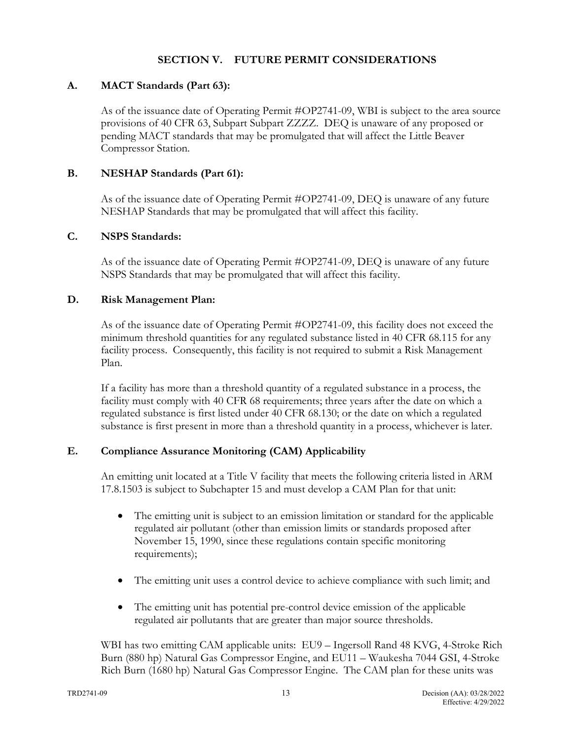### <span id="page-12-0"></span>**SECTION V. FUTURE PERMIT CONSIDERATIONS**

### <span id="page-12-1"></span>**A. MACT Standards (Part 63):**

As of the issuance date of Operating Permit #OP2741-09, WBI is subject to the area source provisions of 40 CFR 63, Subpart Subpart ZZZZ. DEQ is unaware of any proposed or pending MACT standards that may be promulgated that will affect the Little Beaver Compressor Station.

## <span id="page-12-2"></span>**B. NESHAP Standards (Part 61):**

As of the issuance date of Operating Permit #OP2741-09, DEQ is unaware of any future NESHAP Standards that may be promulgated that will affect this facility.

## <span id="page-12-3"></span>**C. NSPS Standards:**

As of the issuance date of Operating Permit #OP2741-09, DEQ is unaware of any future NSPS Standards that may be promulgated that will affect this facility.

## <span id="page-12-4"></span>**D. Risk Management Plan:**

As of the issuance date of Operating Permit #OP2741-09, this facility does not exceed the minimum threshold quantities for any regulated substance listed in 40 CFR 68.115 for any facility process. Consequently, this facility is not required to submit a Risk Management Plan.

If a facility has more than a threshold quantity of a regulated substance in a process, the facility must comply with 40 CFR 68 requirements; three years after the date on which a regulated substance is first listed under 40 CFR 68.130; or the date on which a regulated substance is first present in more than a threshold quantity in a process, whichever is later.

### <span id="page-12-5"></span>**E. Compliance Assurance Monitoring (CAM) Applicability**

An emitting unit located at a Title V facility that meets the following criteria listed in ARM 17.8.1503 is subject to Subchapter 15 and must develop a CAM Plan for that unit:

- The emitting unit is subject to an emission limitation or standard for the applicable regulated air pollutant (other than emission limits or standards proposed after November 15, 1990, since these regulations contain specific monitoring requirements);
- The emitting unit uses a control device to achieve compliance with such limit; and
- The emitting unit has potential pre-control device emission of the applicable regulated air pollutants that are greater than major source thresholds.

WBI has two emitting CAM applicable units: EU9 – Ingersoll Rand 48 KVG, 4-Stroke Rich Burn (880 hp) Natural Gas Compressor Engine, and EU11 – Waukesha 7044 GSI, 4-Stroke Rich Burn (1680 hp) Natural Gas Compressor Engine. The CAM plan for these units was